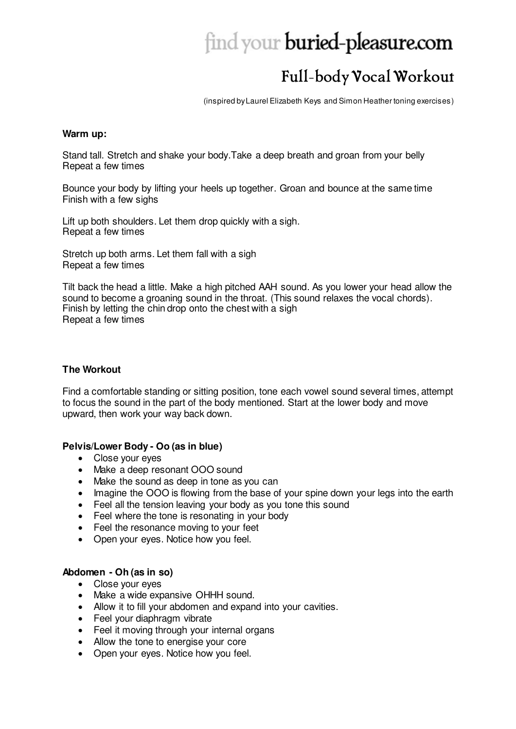# find your buried-pleasure.com

# Full-body Vocal Workout

(inspired by Laurel Elizabeth Keys and Simon Heather toning exercises)

#### **Warm up:**

Stand tall. Stretch and shake your body.Take a deep breath and groan from your belly Repeat a few times

Bounce your body by lifting your heels up together. Groan and bounce at the same time Finish with a few sighs

Lift up both shoulders. Let them drop quickly with a sigh. Repeat a few times

Stretch up both arms. Let them fall with a sigh Repeat a few times

Tilt back the head a little. Make a high pitched AAH sound. As you lower your head allow the sound to become a groaning sound in the throat. (This sound relaxes the vocal chords). Finish by letting the chin drop onto the chest with a sigh Repeat a few times

### **The Workout**

Find a comfortable standing or sitting position, tone each vowel sound several times, attempt to focus the sound in the part of the body mentioned. Start at the lower body and move upward, then work your way back down.

#### **Pelvis/Lower Body - Oo (as in blue)**

- Close your eyes
- Make a deep resonant OOO sound
- Make the sound as deep in tone as you can
- Imagine the OOO is flowing from the base of your spine down your legs into the earth
- Feel all the tension leaving your body as you tone this sound
- Feel where the tone is resonating in your body
- Feel the resonance moving to your feet
- Open your eyes. Notice how you feel.

# **Abdomen - Oh (as in so)**

- Close your eyes
- Make a wide expansive OHHH sound.
- Allow it to fill your abdomen and expand into your cavities.
- Feel your diaphragm vibrate
- Feel it moving through your internal organs
- Allow the tone to energise your core
- Open your eyes. Notice how you feel.